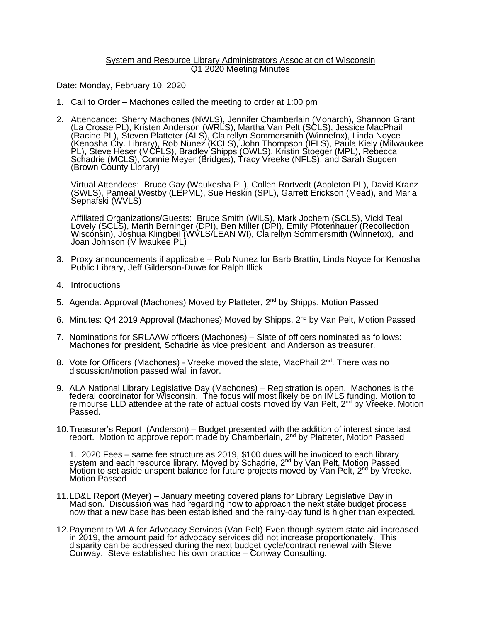## System and Resource Library Administrators Association of Wisconsin Q1 2020 Meeting Minutes

Date: Monday, February 10, 2020

- 1. Call to Order Machones called the meeting to order at 1:00 pm
- 2. Attendance: Sherry Machones (NWLS), Jennifer Chamberlain (Monarch), Shannon Grant (La Crosse PL), Kristen Anderson (WRLS), Martha Van Pelt (SCLS), Jessice MacPhail (Racine PL), Steven Platteter (ALS), Clairellyn Sommersmith (Winnefox), Linda Noyce (Kenosha Cty. Library), Rob Nunez (KCLS), John Thompson (IFLS), Paula Kiely (Milwaukee PL), Steve Heser (MCFLS), Bradley Shipps (OWLS), Kristin Stoeger (MPL), Rebecca Schadrie (MCLS), Connie Meyer (Bridges), Tracy Vreeke (NFLS), and Sarah Sugden (Brown County Library)

Virtual Attendees: Bruce Gay (Waukesha PL), Collen Rortvedt (Appleton PL), David Kranz (SWLS), Pameal Westby (LEPML), Sue Heskin (SPL), Garrett Erickson (Mead), and Marla Sepnafski (WVLS)

Affiliated Organizations/Guests: Bruce Smith (WiLS), Mark Jochem (SCLS), Vicki Teal Lovely (SCLS), Marth Berninger (DPI), Ben Miller (DPI), Emily Pfotenhauer (Recollection Wiscónsin), Jóshua Klingbeil (WVLS/LEAN WI), Clairellyn Sommersmith (Winnefox), and Joan Johnson (Milwaukee PL)

- 3. Proxy announcements if applicable Rob Nunez for Barb Brattin, Linda Noyce for Kenosha Public Library, Jeff Gilderson-Duwe for Ralph Illick
- 4. Introductions
- 5. Agenda: Approval (Machones) Moved by Platteter, 2<sup>nd</sup> by Shipps, Motion Passed
- 6. Minutes: Q4 2019 Approval (Machones) Moved by Shipps, 2<sup>nd</sup> by Van Pelt, Motion Passed
- 7. Nominations for SRLAAW officers (Machones) Slate of officers nominated as follows: Machones for president, Schadrie as vice president, and Anderson as treasurer.
- 8. Vote for Officers (Machones) Vreeke moved the slate, MacPhail 2<sup>nd</sup>. There was no discussion/motion passed w/all in favor.
- 9. ALA National Library Legislative Day (Machones) Registration is open. Machones is the federal coordinator for Wisconsin. The focus will most likely be on IMLS funding. Motion to reimburse LLD attendee at the rate of actual costs moved by Van Pelt, 2<sup>nd</sup> by Vreeke. Motion Passed.
- 10.Treasurer's Report (Anderson) Budget presented with the addition of interest since last report. Motion to approve report made by Chamberlain, 2<sup>nd</sup> by Platteter, Motion Passed

1. 2020 Fees – same fee structure as 2019, \$100 dues will be invoiced to each library system and each resource library. Moved by Schadrie, 2<sup>nd</sup> by Van Pelt, Motion Passed. Motion to set aside unspent balance for future projects moved by Van Pelt, 2<sup>nd</sup> by Vreeke. Motion Passed

- 11.LD&L Report (Meyer) January meeting covered plans for Library Legislative Day in Madison. Discussion was had regarding how to approach the next state budget process now that a new base has been established and the rainy-day fund is higher than expected.
- 12.Payment to WLA for Advocacy Services (Van Pelt) Even though system state aid increased in 2019, the amount paid for advocacy services did not increase proportionately. This disparity can be addressed during the next budget cycle/contract renewal with Steve Conway. Steve established his own practice – Conway Consulting.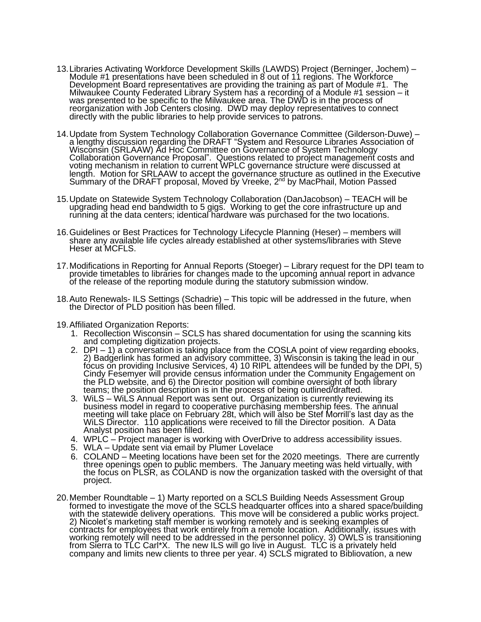- 13.Libraries Activating Workforce Development Skills (LAWDS) Project (Berninger, Jochem) Module #1 presentations have been scheduled in 8 out of 11 regions. The Workforce Development Board representatives are providing the training as part of Module #1. The Milwaukee County Federated Library System has a recording of a Module #1 session – it was presented to be specific to the Milwaukee area. The DWD is in the process of reorganization with Job Centers closing. DWD may deploy representatives to connect directly with the public libraries to help provide services to patrons.
- 14.Update from System Technology Collaboration Governance Committee (Gilderson-Duwe) a lengthy discussion regarding the DRAFT "System and Resource Libraries Association of Wisconsin (SRLAAW) Ad Hoc Committee on Governance of System Technology Collaboration Governance Proposal". Questions related to project management costs and voting mechanism in relation to current WPLC governance structure were discussed at length. Motion for SRLAAW to accept the governance structure as outlined in the Executive Summary of the DRAFT proposal, Moved by Vreeke, 2<sup>nd</sup> by MacPhail, Motion Passed
- 15.Update on Statewide System Technology Collaboration (DanJacobson) TEACH will be upgrading head end bandwidth to 5 gigs. Working to get the core infrastructure up and running at the data centers; identical hardware was purchased for the two locations.
- 16.Guidelines or Best Practices for Technology Lifecycle Planning (Heser) members will share any available life cycles already established at other systems/libraries with Steve Heser at MCFLS.
- 17.Modifications in Reporting for Annual Reports (Stoeger) Library request for the DPI team to provide timetables to libraries for changes made to the upcoming annual report in advance of the release of the reporting module during the statutory submission window.
- 18.Auto Renewals- ILS Settings (Schadrie) This topic will be addressed in the future, when the Director of PLD position has been filled.
- 19.Affiliated Organization Reports:
	- 1. Recollection Wisconsin SCLS has shared documentation for using the scanning kits and completing digitization projects.
	- 2. DPI 1) a conversation is taking place from the COSLA point of view regarding ebooks, 2) Badgerlink has formed an advisory committee, 3) Wisconsin is taking the lead in our focus on providing Inclusive Services, 4) 10 RIPL attendees will be funded by the DPI, 5) Cindy Fesemyer will provide census information under the Community Engagement on the PLD website, and 6) the Director position will combine oversight of both library teams; the position description is in the process of being outlined/drafted.
	- 3. WiLS WiLS Annual Report was sent out. Organization is currently reviewing its business model in regard to cooperative purchasing membership fees. The annual meeting will take place on February 28t, which will also be Stef Morrill's last day as the WiLS Director. 110 applications were received to fill the Director position. A Data Analyst position has been filled.
	- 4. WPLC Project manager is working with OverDrive to address accessibility issues.
	- 5. WLA Update sent via email by Plumer Lovelace
	- 6. COLAND Meeting locations have been set for the 2020 meetings. There are currently three openings open to public members. The January meeting was held virtually, with the focus on PLSR, as COLAND is now the organization tasked with the oversight of that project.
- 20.Member Roundtable 1) Marty reported on a SCLS Building Needs Assessment Group formed to investigate the move of the SCLS headquarter offices into a shared space/building with the statewide delivery operations. This move will be considered a public works project. 2) Nicolet's marketing staff member is working remotely and is seeking examples of contracts for employees that work entirely from a remote location. Additionally, issues with working remotely will need to be addressed in the personnel policy. 3) OWLS is transitioning from Sierra to TLC Carl\*X. The new ILS will go live in August. TLC is a privately held company and limits new clients to three per year. 4) SCLS migrated to Bibliovation, a new